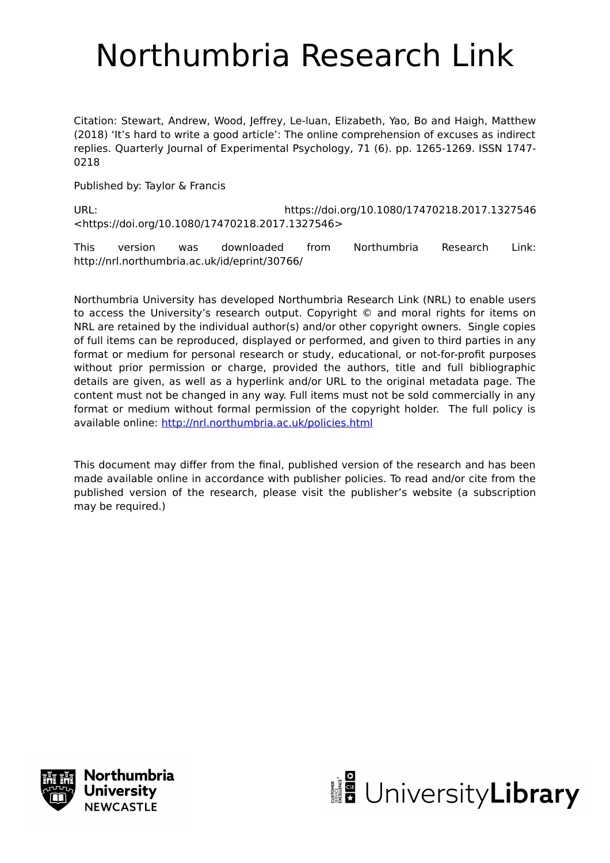# Northumbria Research Link

Citation: Stewart, Andrew, Wood, Jeffrey, Le-luan, Elizabeth, Yao, Bo and Haigh, Matthew (2018) 'It's hard to write a good article': The online comprehension of excuses as indirect replies. Quarterly Journal of Experimental Psychology, 71 (6). pp. 1265-1269. ISSN 1747- 0218

Published by: Taylor & Francis

URL: https://doi.org/10.1080/17470218.2017.1327546 <https://doi.org/10.1080/17470218.2017.1327546>

This version was downloaded from Northumbria Research Link: http://nrl.northumbria.ac.uk/id/eprint/30766/

Northumbria University has developed Northumbria Research Link (NRL) to enable users to access the University's research output. Copyright © and moral rights for items on NRL are retained by the individual author(s) and/or other copyright owners. Single copies of full items can be reproduced, displayed or performed, and given to third parties in any format or medium for personal research or study, educational, or not-for-profit purposes without prior permission or charge, provided the authors, title and full bibliographic details are given, as well as a hyperlink and/or URL to the original metadata page. The content must not be changed in any way. Full items must not be sold commercially in any format or medium without formal permission of the copyright holder. The full policy is available online:<http://nrl.northumbria.ac.uk/policies.html>

This document may differ from the final, published version of the research and has been made available online in accordance with publisher policies. To read and/or cite from the published version of the research, please visit the publisher's website (a subscription may be required.)



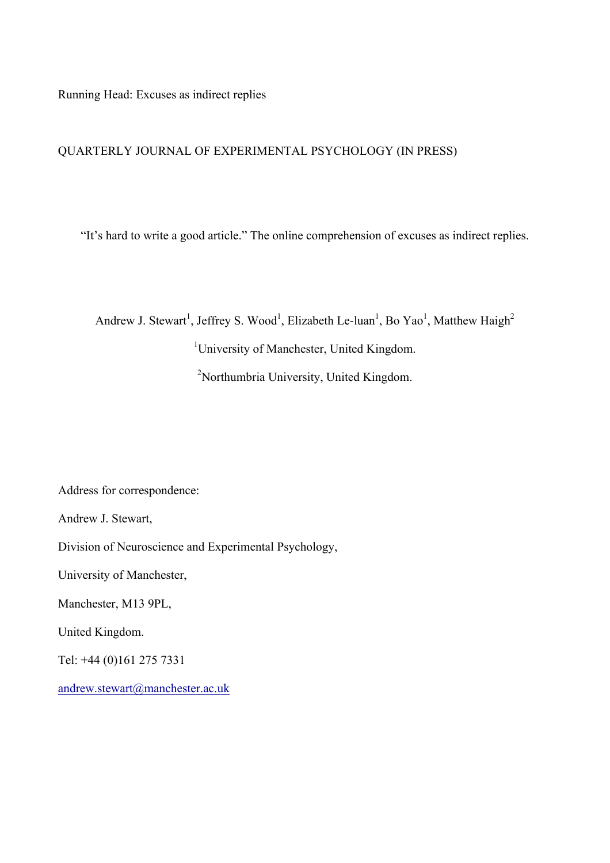Running Head: Excuses as indirect replies

# QUARTERLY JOURNAL OF EXPERIMENTAL PSYCHOLOGY (IN PRESS)

"It's hard to write a good article." The online comprehension of excuses as indirect replies.

Andrew J. Stewart<sup>1</sup>, Jeffrey S. Wood<sup>1</sup>, Elizabeth Le-luan<sup>1</sup>, Bo Yao<sup>1</sup>, Matthew Haigh<sup>2</sup> <sup>1</sup>University of Manchester, United Kingdom. <sup>2</sup>Northumbria University, United Kingdom.

Address for correspondence:

Andrew J. Stewart,

Division of Neuroscience and Experimental Psychology,

University of Manchester,

Manchester, M13 9PL,

United Kingdom.

Tel: +44 (0)161 275 7331

andrew.stewart@manchester.ac.uk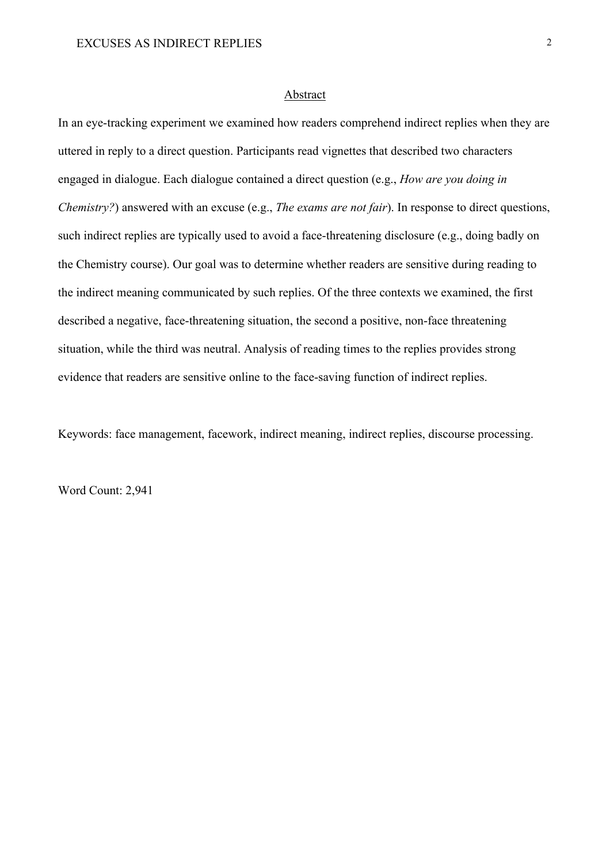#### Abstract

In an eye-tracking experiment we examined how readers comprehend indirect replies when they are uttered in reply to a direct question. Participants read vignettes that described two characters engaged in dialogue. Each dialogue contained a direct question (e.g., *How are you doing in Chemistry?*) answered with an excuse (e.g., *The exams are not fair*). In response to direct questions, such indirect replies are typically used to avoid a face-threatening disclosure (e.g., doing badly on the Chemistry course). Our goal was to determine whether readers are sensitive during reading to the indirect meaning communicated by such replies. Of the three contexts we examined, the first described a negative, face-threatening situation, the second a positive, non-face threatening situation, while the third was neutral. Analysis of reading times to the replies provides strong evidence that readers are sensitive online to the face-saving function of indirect replies.

Keywords: face management, facework, indirect meaning, indirect replies, discourse processing.

Word Count: 2,941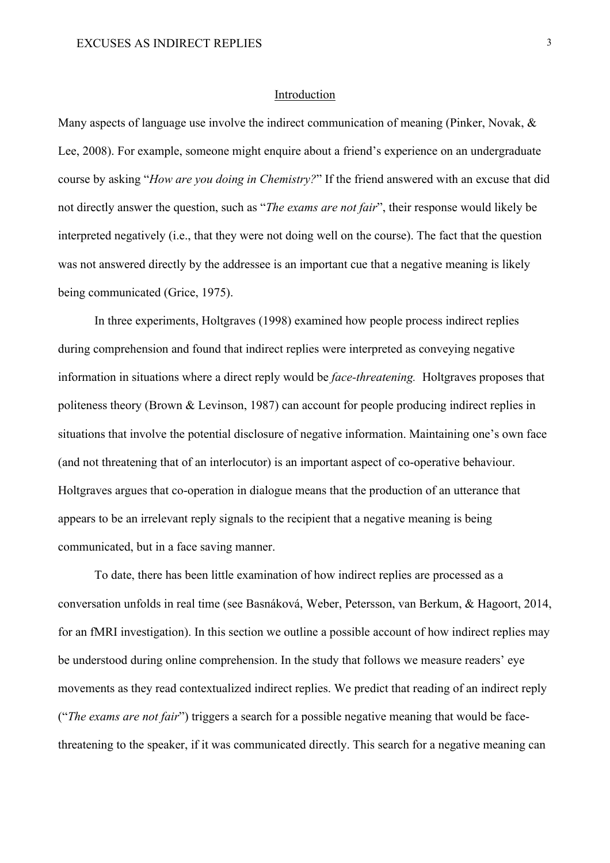#### Introduction

Many aspects of language use involve the indirect communication of meaning (Pinker, Novak, & Lee, 2008). For example, someone might enquire about a friend's experience on an undergraduate course by asking "*How are you doing in Chemistry?*" If the friend answered with an excuse that did not directly answer the question, such as "*The exams are not fair*", their response would likely be interpreted negatively (i.e., that they were not doing well on the course). The fact that the question was not answered directly by the addressee is an important cue that a negative meaning is likely being communicated (Grice, 1975).

In three experiments, Holtgraves (1998) examined how people process indirect replies during comprehension and found that indirect replies were interpreted as conveying negative information in situations where a direct reply would be *face-threatening.* Holtgraves proposes that politeness theory (Brown & Levinson, 1987) can account for people producing indirect replies in situations that involve the potential disclosure of negative information. Maintaining one's own face (and not threatening that of an interlocutor) is an important aspect of co-operative behaviour. Holtgraves argues that co-operation in dialogue means that the production of an utterance that appears to be an irrelevant reply signals to the recipient that a negative meaning is being communicated, but in a face saving manner.

To date, there has been little examination of how indirect replies are processed as a conversation unfolds in real time (see Basnáková, Weber, Petersson, van Berkum, & Hagoort, 2014, for an fMRI investigation). In this section we outline a possible account of how indirect replies may be understood during online comprehension. In the study that follows we measure readers' eye movements as they read contextualized indirect replies. We predict that reading of an indirect reply ("*The exams are not fair*") triggers a search for a possible negative meaning that would be facethreatening to the speaker, if it was communicated directly. This search for a negative meaning can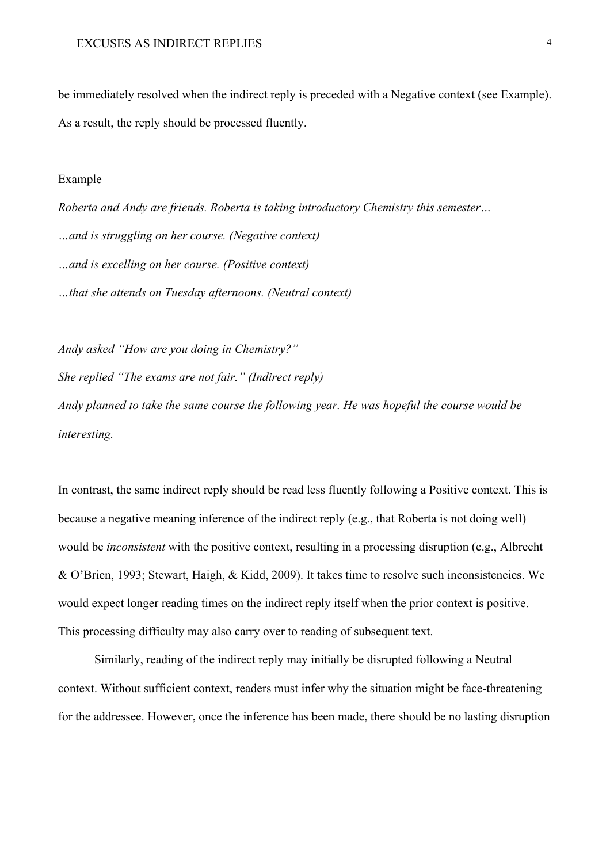be immediately resolved when the indirect reply is preceded with a Negative context (see Example). As a result, the reply should be processed fluently.

#### Example

*Roberta and Andy are friends. Roberta is taking introductory Chemistry this semester… …and is struggling on her course. (Negative context) …and is excelling on her course. (Positive context) …that she attends on Tuesday afternoons. (Neutral context)*

*Andy asked "How are you doing in Chemistry?"*

*She replied "The exams are not fair." (Indirect reply)*

*Andy planned to take the same course the following year. He was hopeful the course would be interesting.* 

In contrast, the same indirect reply should be read less fluently following a Positive context. This is because a negative meaning inference of the indirect reply (e.g., that Roberta is not doing well) would be *inconsistent* with the positive context, resulting in a processing disruption (e.g., Albrecht & O'Brien, 1993; Stewart, Haigh, & Kidd, 2009). It takes time to resolve such inconsistencies. We would expect longer reading times on the indirect reply itself when the prior context is positive. This processing difficulty may also carry over to reading of subsequent text.

Similarly, reading of the indirect reply may initially be disrupted following a Neutral context. Without sufficient context, readers must infer why the situation might be face-threatening for the addressee. However, once the inference has been made, there should be no lasting disruption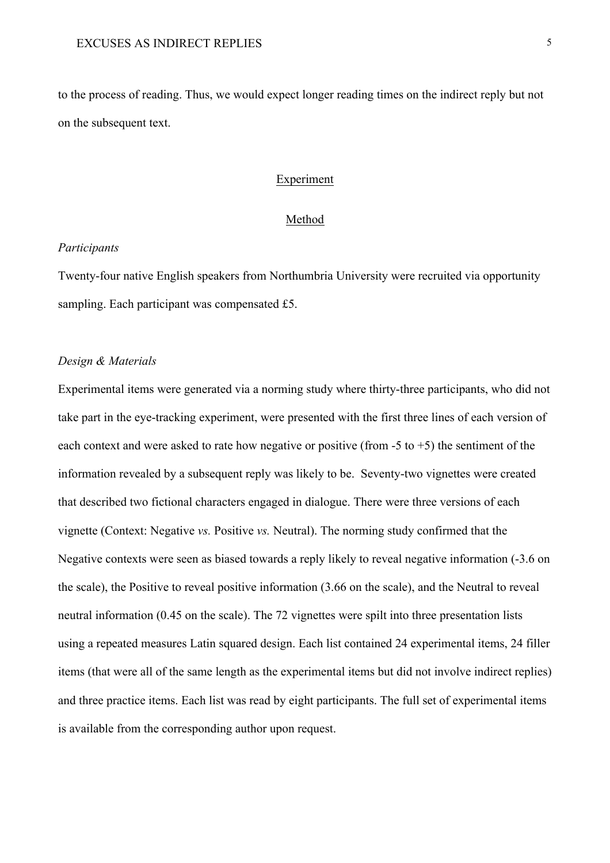to the process of reading. Thus, we would expect longer reading times on the indirect reply but not on the subsequent text.

# Experiment

# Method

# *Participants*

Twenty-four native English speakers from Northumbria University were recruited via opportunity sampling. Each participant was compensated £5.

# *Design & Materials*

Experimental items were generated via a norming study where thirty-three participants, who did not take part in the eye-tracking experiment, were presented with the first three lines of each version of each context and were asked to rate how negative or positive (from  $-5$  to  $+5$ ) the sentiment of the information revealed by a subsequent reply was likely to be. Seventy-two vignettes were created that described two fictional characters engaged in dialogue. There were three versions of each vignette (Context: Negative *vs.* Positive *vs.* Neutral). The norming study confirmed that the Negative contexts were seen as biased towards a reply likely to reveal negative information (-3.6 on the scale), the Positive to reveal positive information (3.66 on the scale), and the Neutral to reveal neutral information (0.45 on the scale). The 72 vignettes were spilt into three presentation lists using a repeated measures Latin squared design. Each list contained 24 experimental items, 24 filler items (that were all of the same length as the experimental items but did not involve indirect replies) and three practice items. Each list was read by eight participants. The full set of experimental items is available from the corresponding author upon request.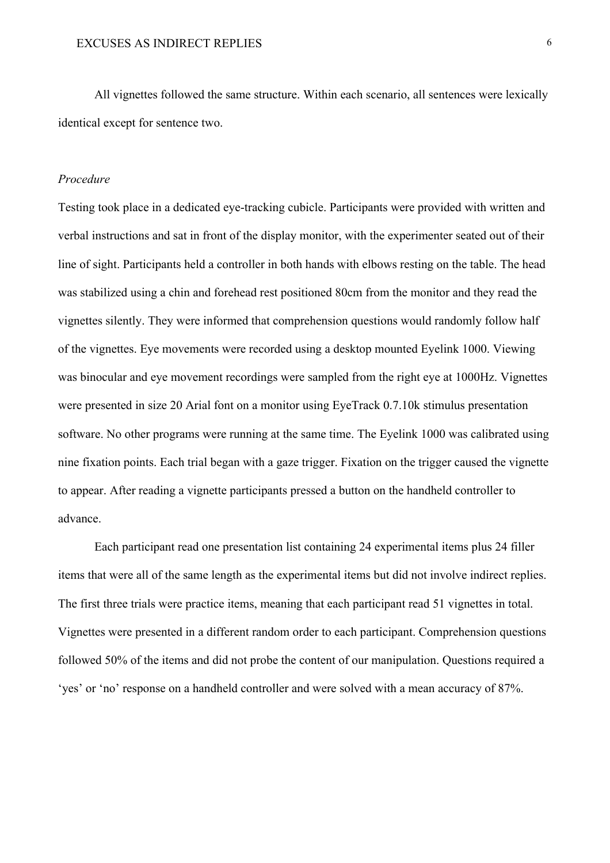All vignettes followed the same structure. Within each scenario, all sentences were lexically identical except for sentence two.

# *Procedure*

Testing took place in a dedicated eye-tracking cubicle. Participants were provided with written and verbal instructions and sat in front of the display monitor, with the experimenter seated out of their line of sight. Participants held a controller in both hands with elbows resting on the table. The head was stabilized using a chin and forehead rest positioned 80cm from the monitor and they read the vignettes silently. They were informed that comprehension questions would randomly follow half of the vignettes. Eye movements were recorded using a desktop mounted Eyelink 1000. Viewing was binocular and eye movement recordings were sampled from the right eye at 1000Hz. Vignettes were presented in size 20 Arial font on a monitor using EyeTrack 0.7.10k stimulus presentation software. No other programs were running at the same time. The Eyelink 1000 was calibrated using nine fixation points. Each trial began with a gaze trigger. Fixation on the trigger caused the vignette to appear. After reading a vignette participants pressed a button on the handheld controller to advance.

Each participant read one presentation list containing 24 experimental items plus 24 filler items that were all of the same length as the experimental items but did not involve indirect replies. The first three trials were practice items, meaning that each participant read 51 vignettes in total. Vignettes were presented in a different random order to each participant. Comprehension questions followed 50% of the items and did not probe the content of our manipulation. Questions required a 'yes' or 'no' response on a handheld controller and were solved with a mean accuracy of 87%.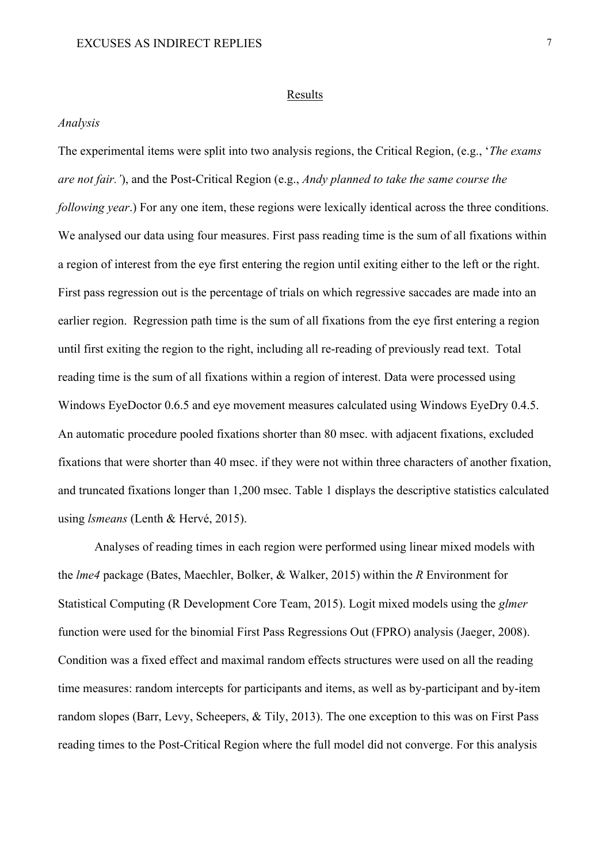#### Results

## *Analysis*

The experimental items were split into two analysis regions, the Critical Region, (e.g., '*The exams are not fair.'*), and the Post-Critical Region (e.g., *Andy planned to take the same course the following year*.) For any one item, these regions were lexically identical across the three conditions. We analysed our data using four measures. First pass reading time is the sum of all fixations within a region of interest from the eye first entering the region until exiting either to the left or the right. First pass regression out is the percentage of trials on which regressive saccades are made into an earlier region. Regression path time is the sum of all fixations from the eye first entering a region until first exiting the region to the right, including all re-reading of previously read text. Total reading time is the sum of all fixations within a region of interest. Data were processed using Windows EyeDoctor 0.6.5 and eye movement measures calculated using Windows EyeDry 0.4.5. An automatic procedure pooled fixations shorter than 80 msec. with adjacent fixations, excluded fixations that were shorter than 40 msec. if they were not within three characters of another fixation, and truncated fixations longer than 1,200 msec. Table 1 displays the descriptive statistics calculated using *lsmeans* (Lenth & Hervé, 2015).

Analyses of reading times in each region were performed using linear mixed models with the *lme4* package (Bates, Maechler, Bolker, & Walker, 2015) within the *R* Environment for Statistical Computing (R Development Core Team, 2015). Logit mixed models using the *glmer* function were used for the binomial First Pass Regressions Out (FPRO) analysis (Jaeger, 2008). Condition was a fixed effect and maximal random effects structures were used on all the reading time measures: random intercepts for participants and items, as well as by-participant and by-item random slopes (Barr, Levy, Scheepers, & Tily, 2013). The one exception to this was on First Pass reading times to the Post-Critical Region where the full model did not converge. For this analysis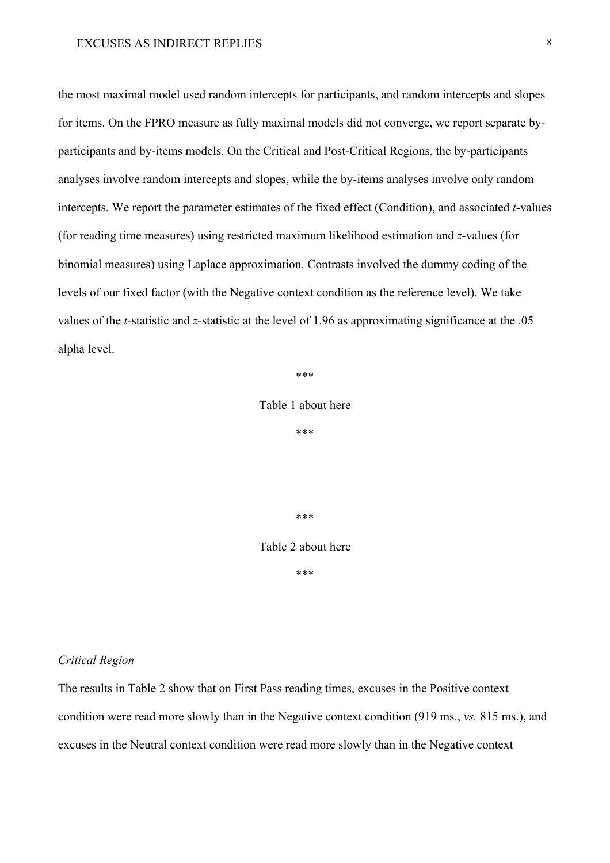the most maximal model used random intercepts for participants, and random intercepts and slopes for items. On the FPRO measure as fully maximal models did not converge, we report separate byparticipants and by-items models. On the Critical and Post-Critical Regions, the by-participants analyses involve random intercepts and slopes, while the by-items analyses involve only random intercepts. We report the parameter estimates of the fixed effect (Condition), and associated *t*-values (for reading time measures) using restricted maximum likelihood estimation and *z*-values (for binomial measures) using Laplace approximation. Contrasts involved the dummy coding of the levels of our fixed factor (with the Negative context condition as the reference level). We take values of the *t*-statistic and *z*-statistic at the level of 1.96 as approximating significance at the .05 alpha level.

\*\*\*

Table 1 about here

\*\*\*

\*\*\*

Table 2 about here

\*\*\*

## *Critical Region*

The results in Table 2 show that on First Pass reading times, excuses in the Positive context condition were read more slowly than in the Negative context condition (919 ms., *vs.* 815 ms.), and excuses in the Neutral context condition were read more slowly than in the Negative context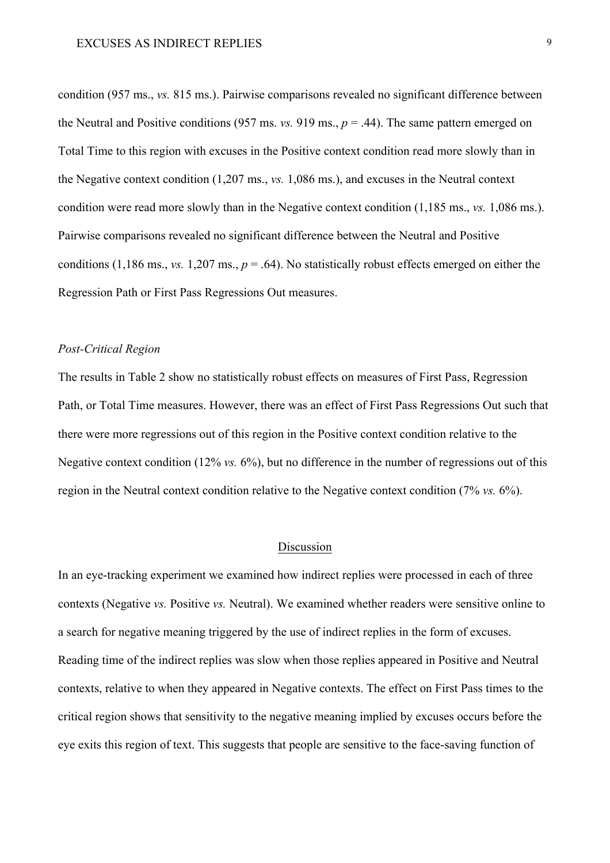condition (957 ms., *vs.* 815 ms.). Pairwise comparisons revealed no significant difference between the Neutral and Positive conditions (957 ms. *vs.* 919 ms.,  $p = .44$ ). The same pattern emerged on Total Time to this region with excuses in the Positive context condition read more slowly than in the Negative context condition (1,207 ms., *vs.* 1,086 ms.), and excuses in the Neutral context condition were read more slowly than in the Negative context condition (1,185 ms., *vs.* 1,086 ms.). Pairwise comparisons revealed no significant difference between the Neutral and Positive conditions (1,186 ms., *vs.* 1,207 ms.,  $p = .64$ ). No statistically robust effects emerged on either the Regression Path or First Pass Regressions Out measures.

# *Post-Critical Region*

The results in Table 2 show no statistically robust effects on measures of First Pass, Regression Path, or Total Time measures. However, there was an effect of First Pass Regressions Out such that there were more regressions out of this region in the Positive context condition relative to the Negative context condition (12% *vs.* 6%), but no difference in the number of regressions out of this region in the Neutral context condition relative to the Negative context condition (7% *vs.* 6%).

# Discussion

In an eye-tracking experiment we examined how indirect replies were processed in each of three contexts (Negative *vs.* Positive *vs.* Neutral). We examined whether readers were sensitive online to a search for negative meaning triggered by the use of indirect replies in the form of excuses. Reading time of the indirect replies was slow when those replies appeared in Positive and Neutral contexts, relative to when they appeared in Negative contexts. The effect on First Pass times to the critical region shows that sensitivity to the negative meaning implied by excuses occurs before the eye exits this region of text. This suggests that people are sensitive to the face-saving function of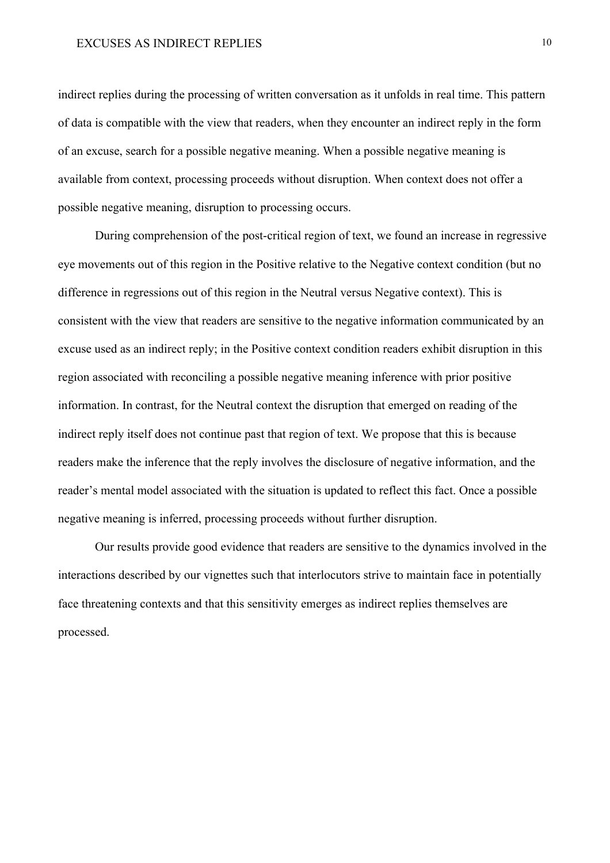# EXCUSES AS INDIRECT REPLIES 10

indirect replies during the processing of written conversation as it unfolds in real time. This pattern of data is compatible with the view that readers, when they encounter an indirect reply in the form of an excuse, search for a possible negative meaning. When a possible negative meaning is available from context, processing proceeds without disruption. When context does not offer a possible negative meaning, disruption to processing occurs.

During comprehension of the post-critical region of text, we found an increase in regressive eye movements out of this region in the Positive relative to the Negative context condition (but no difference in regressions out of this region in the Neutral versus Negative context). This is consistent with the view that readers are sensitive to the negative information communicated by an excuse used as an indirect reply; in the Positive context condition readers exhibit disruption in this region associated with reconciling a possible negative meaning inference with prior positive information. In contrast, for the Neutral context the disruption that emerged on reading of the indirect reply itself does not continue past that region of text. We propose that this is because readers make the inference that the reply involves the disclosure of negative information, and the reader's mental model associated with the situation is updated to reflect this fact. Once a possible negative meaning is inferred, processing proceeds without further disruption.

Our results provide good evidence that readers are sensitive to the dynamics involved in the interactions described by our vignettes such that interlocutors strive to maintain face in potentially face threatening contexts and that this sensitivity emerges as indirect replies themselves are processed.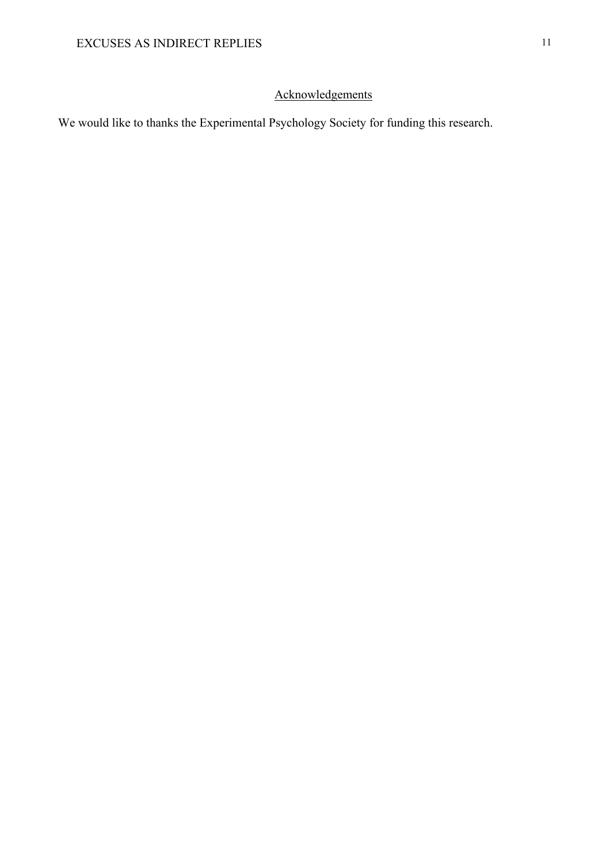# Acknowledgements

We would like to thanks the Experimental Psychology Society for funding this research.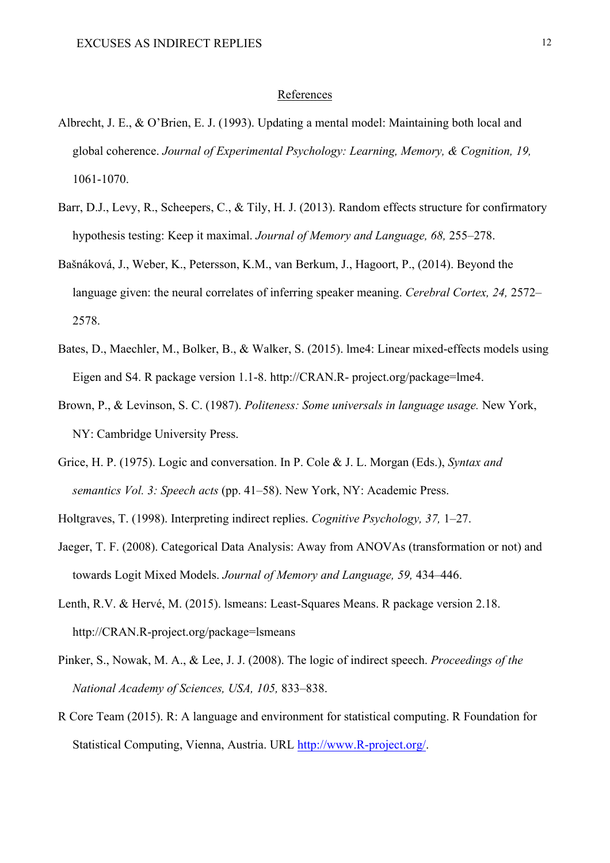#### References

- Albrecht, J. E., & O'Brien, E. J. (1993). Updating a mental model: Maintaining both local and global coherence. *Journal of Experimental Psychology: Learning, Memory, & Cognition, 19,* 1061-1070.
- Barr, D.J., Levy, R., Scheepers, C., & Tily, H. J. (2013). Random effects structure for confirmatory hypothesis testing: Keep it maximal. *Journal of Memory and Language, 68,* 255–278.
- Bašnáková, J., Weber, K., Petersson, K.M., van Berkum, J., Hagoort, P., (2014). Beyond the language given: the neural correlates of inferring speaker meaning. *Cerebral Cortex, 24,* 2572– 2578.
- Bates, D., Maechler, M., Bolker, B., & Walker, S. (2015). lme4: Linear mixed-effects models using Eigen and S4. R package version 1.1-8. http://CRAN.R- project.org/package=lme4.
- Brown, P., & Levinson, S. C. (1987). *Politeness: Some universals in language usage.* New York, NY: Cambridge University Press.
- Grice, H. P. (1975). Logic and conversation. In P. Cole & J. L. Morgan (Eds.), *Syntax and semantics Vol. 3: Speech acts* (pp. 41–58). New York, NY: Academic Press.

Holtgraves, T. (1998). Interpreting indirect replies. *Cognitive Psychology, 37,* 1–27.

- Jaeger, T. F. (2008). Categorical Data Analysis: Away from ANOVAs (transformation or not) and towards Logit Mixed Models. *Journal of Memory and Language, 59,* 434–446.
- Lenth, R.V. & Hervé, M. (2015). lsmeans: Least-Squares Means. R package version 2.18. http://CRAN.R-project.org/package=lsmeans
- Pinker, S., Nowak, M. A., & Lee, J. J. (2008). The logic of indirect speech. *Proceedings of the National Academy of Sciences, USA, 105,* 833–838.
- R Core Team (2015). R: A language and environment for statistical computing. R Foundation for Statistical Computing, Vienna, Austria. URL http://www.R-project.org/.